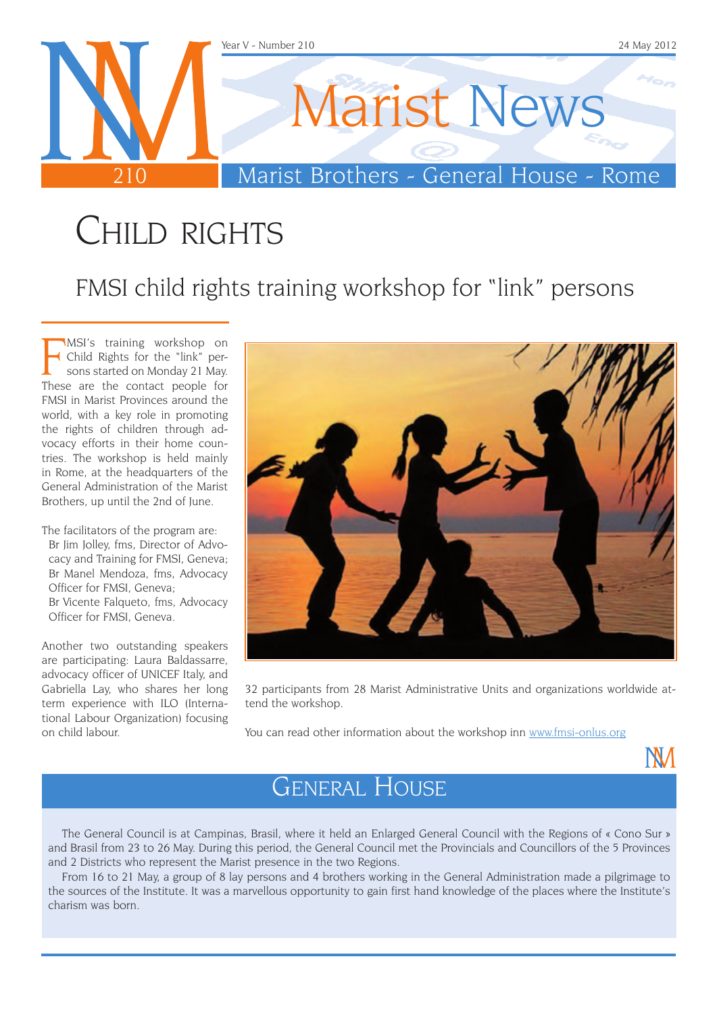

### CHILD RIGHTS

FMSI child rights training workshop for "link" persons

**FORMSI's training workshop on**<br>**F** Child Rights for the "link" persons started on Monday 21 May.<br>These are the contact people for MSI's training workshop on Child Rights for the "link" persons started on Monday 21 May. FMSI in Marist Provinces around the world, with a key role in promoting the rights of children through advocacy efforts in their home countries. The workshop is held mainly in Rome, at the headquarters of the General Administration of the Marist Brothers, up until the 2nd of June.

The facilitators of the program are: Br Jim Jolley, fms, Director of Advocacy and Training for FMSI, Geneva; Br Manel Mendoza, fms, Advocacy Officer for FMSI, Geneva; Br Vicente Falqueto, fms, Advocacy Officer for FMSI, Geneva.

Another two outstanding speakers are participating: Laura Baldassarre, advocacy officer of UNICEF Italy, and Gabriella Lay, who shares her long term experience with ILO (International Labour Organization) focusing on child labour.



32 participants from 28 Marist Administrative Units and organizations worldwide attend the workshop.

You can read other information about the workshop inn www.fmsi-onlus.org

**NM** 

#### General House

The General Council is at Campinas, Brasil, where it held an Enlarged General Council with the Regions of « Cono Sur » and Brasil from 23 to 26 May. During this period, the General Council met the Provincials and Councillors of the 5 Provinces and 2 Districts who represent the Marist presence in the two Regions.

From 16 to 21 May, a group of 8 lay persons and 4 brothers working in the General Administration made a pilgrimage to the sources of the Institute. It was a marvellous opportunity to gain first hand knowledge of the places where the Institute's charism was born.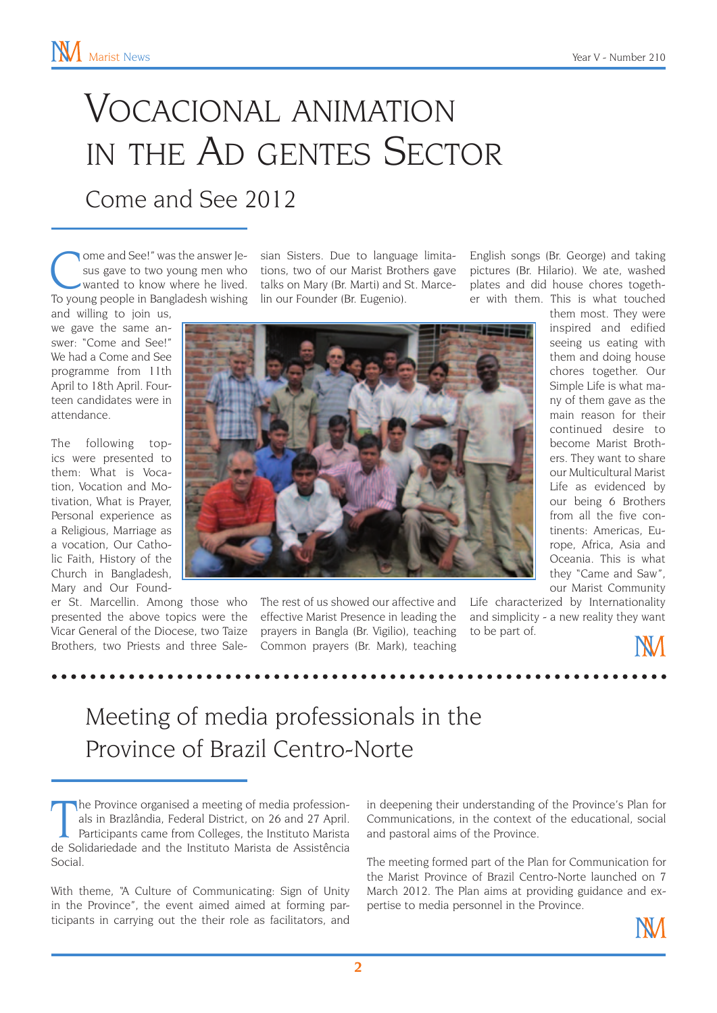## Vocacional animation in the Ad gentes Sector

#### Come and See 2012

Ome and See!" was the answer Je-<br>
sian Sisters. Due to language limita-<br>
sus gave to two young men who<br>
tons, two of our Marist Brothers gave<br>
wanted to know where he lived.<br>
In our Founder (Br. Eugenio) To young people in Bangladesh wishing lin our Founder (Br. Eugenio).

and willing to join us, we gave the same answer: "Come and See!" We had a Come and See programme from 11th April to 18th April. Fourteen candidates were in attendance.

The following topics were presented to them: What is Vocation, Vocation and Motivation, What is Prayer, Personal experience as a Religious, Marriage as a vocation, Our Catholic Faith, History of the Church in Bangladesh, Mary and Our Found-

presented the above topics were the Vicar General of the Diocese, two Taize prayers in Bangla (Br. Vigilio), teaching Brothers, two Priests and three Sale-Common prayers (Br. Mark), teaching

sus gave to two young men who tions, two of our Marist Brothers gave wanted to know where he lived. talks on Mary (Br. Marti) and St. Marce-

English songs (Br. George) and taking pictures (Br. Hilario). We ate, washed plates and did house chores together with them. This is what touched



er St. Marcellin. Among those who The rest of us showed our affective and Life characterized by Internationality effective Marist Presence in leading the

them most. They were inspired and edified seeing us eating with them and doing house chores together. Our Simple Life is what many of them gave as the main reason for their continued desire to become Marist Brothers. They want to share our Multicultural Marist Life as evidenced by our being 6 Brothers from all the five continents: Americas, Europe, Africa, Asia and Oceania. This is what they "Came and Saw", our Marist Community

and simplicity - a new reality they want to be part of.



#### Meeting of media professionals in the Province of Brazil Centro-Norte

The Province organised a meeting of media professionals in Brazlândia, Federal District, on 26 and 27 April.<br>Participants came from Colleges, the Instituto Marista de Solidariedade and the Instituto Marista de Assistência he Province organised a meeting of media professionals in Brazlândia, Federal District, on 26 and 27 April. Participants came from Colleges, the Instituto Marista Social.

With theme, "A Culture of Communicating: Sign of Unity in the Province", the event aimed aimed at forming participants in carrying out the their role as facilitators, and

in deepening their understanding of the Province's Plan for Communications, in the context of the educational, social and pastoral aims of the Province.

The meeting formed part of the Plan for Communication for the Marist Province of Brazil Centro-Norte launched on 7 March 2012. The Plan aims at providing guidance and expertise to media personnel in the Province.

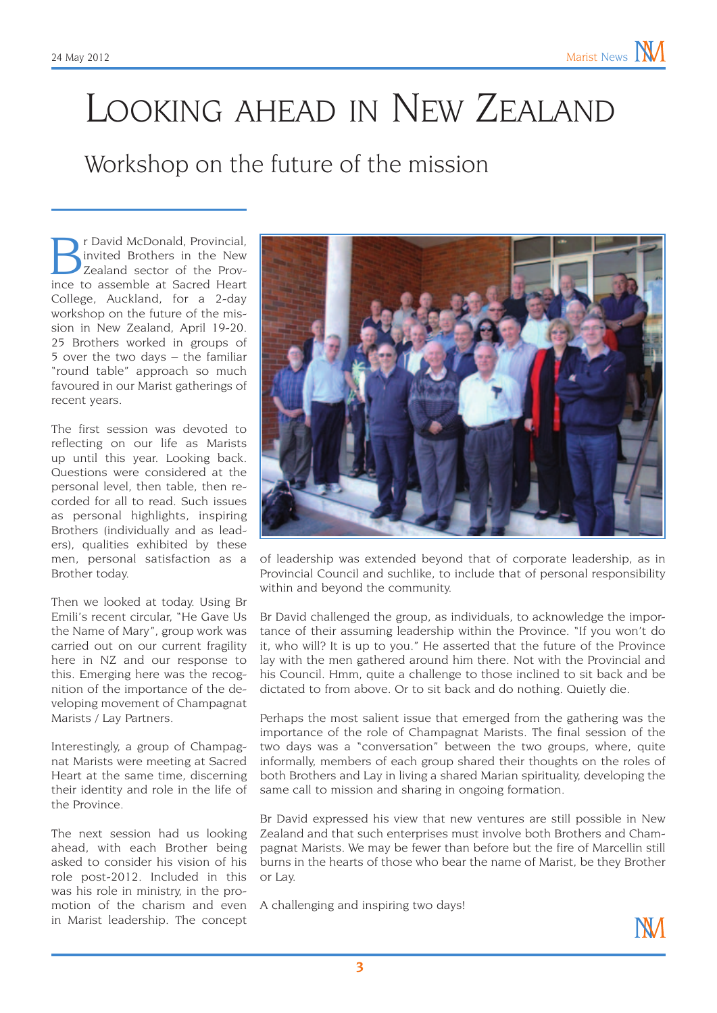## Looking ahead in New Zealand

#### Workshop on the future of the mission

r David McDonald, Provincial, invited Brothers in the New Zealand sector of the Province to assemble at Sacred Heart College, Auckland, for a 2-day workshop on the future of the mission in New Zealand, April 19-20. 25 Brothers worked in groups of 5 over the two days – the familiar "round table" approach so much favoured in our Marist gatherings of recent years.

The first session was devoted to reflecting on our life as Marists up until this year. Looking back. Questions were considered at the personal level, then table, then recorded for all to read. Such issues as personal highlights, inspiring Brothers (individually and as leaders), qualities exhibited by these men, personal satisfaction as a Brother today.

Then we looked at today. Using Br Emili's recent circular, "He Gave Us the Name of Mary", group work was carried out on our current fragility here in NZ and our response to this. Emerging here was the recognition of the importance of the developing movement of Champagnat Marists / Lay Partners.

Interestingly, a group of Champagnat Marists were meeting at Sacred Heart at the same time, discerning their identity and role in the life of the Province.

The next session had us looking ahead, with each Brother being asked to consider his vision of his role post-2012. Included in this was his role in ministry, in the promotion of the charism and even in Marist leadership. The concept



of leadership was extended beyond that of corporate leadership, as in Provincial Council and suchlike, to include that of personal responsibility within and beyond the community.

Br David challenged the group, as individuals, to acknowledge the importance of their assuming leadership within the Province. "If you won't do it, who will? It is up to you." He asserted that the future of the Province lay with the men gathered around him there. Not with the Provincial and his Council. Hmm, quite a challenge to those inclined to sit back and be dictated to from above. Or to sit back and do nothing. Quietly die.

Perhaps the most salient issue that emerged from the gathering was the importance of the role of Champagnat Marists. The final session of the two days was a "conversation" between the two groups, where, quite informally, members of each group shared their thoughts on the roles of both Brothers and Lay in living a shared Marian spirituality, developing the same call to mission and sharing in ongoing formation.

Br David expressed his view that new ventures are still possible in New Zealand and that such enterprises must involve both Brothers and Champagnat Marists. We may be fewer than before but the fire of Marcellin still burns in the hearts of those who bear the name of Marist, be they Brother or Lay.

A challenging and inspiring two days!